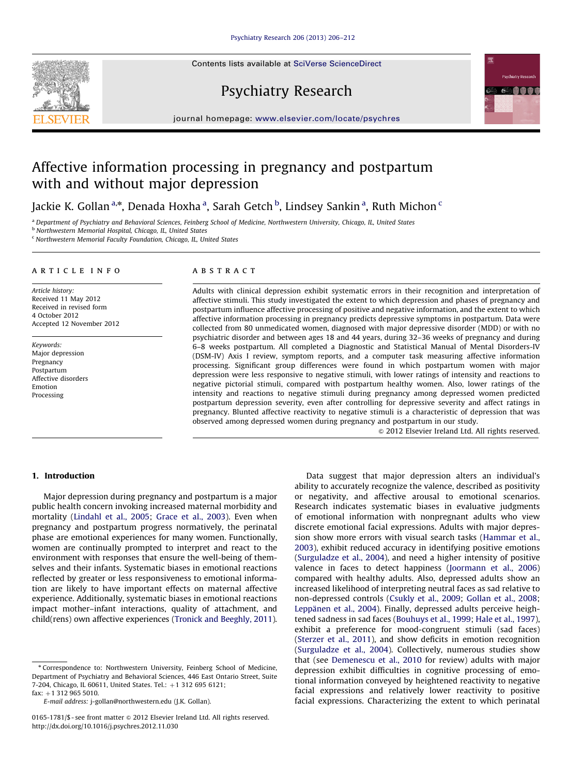Contents lists available at [SciVerse ScienceDirect](www.elsevier.com/locate/psychres)







journal homepage: <www.elsevier.com/locate/psychres>

## Affective information processing in pregnancy and postpartum with and without major depression

Jackie K. Gollan <sup>a,</sup>\*, Denada Hoxha <sup>a</sup>, Sarah Getch <sup>b</sup>, Lindsey Sankin <sup>a</sup>, Ruth Michon <sup>c</sup>

a Department of Psychiatry and Behavioral Sciences, Feinberg School of Medicine, Northwestern University, Chicago, IL, United States

b Northwestern Memorial Hospital, Chicago, IL, United States

<sup>c</sup> Northwestern Memorial Faculty Foundation, Chicago, IL, United States

#### article info

Article history: Received 11 May 2012 Received in revised form 4 October 2012 Accepted 12 November 2012

Keywords: Major depression Pregnancy Postpartum Affective disorders Emotion Processing

#### **ABSTRACT**

Adults with clinical depression exhibit systematic errors in their recognition and interpretation of affective stimuli. This study investigated the extent to which depression and phases of pregnancy and postpartum influence affective processing of positive and negative information, and the extent to which affective information processing in pregnancy predicts depressive symptoms in postpartum. Data were collected from 80 unmedicated women, diagnosed with major depressive disorder (MDD) or with no psychiatric disorder and between ages 18 and 44 years, during 32–36 weeks of pregnancy and during 6–8 weeks postpartum. All completed a Diagnostic and Statistical Manual of Mental Disorders-IV (DSM-IV) Axis I review, symptom reports, and a computer task measuring affective information processing. Significant group differences were found in which postpartum women with major depression were less responsive to negative stimuli, with lower ratings of intensity and reactions to negative pictorial stimuli, compared with postpartum healthy women. Also, lower ratings of the intensity and reactions to negative stimuli during pregnancy among depressed women predicted postpartum depression severity, even after controlling for depressive severity and affect ratings in pregnancy. Blunted affective reactivity to negative stimuli is a characteristic of depression that was observed among depressed women during pregnancy and postpartum in our study.

 $\odot$  2012 Elsevier Ireland Ltd. All rights reserved.

### 1. Introduction

Major depression during pregnancy and postpartum is a major public health concern invoking increased maternal morbidity and mortality ([Lindahl et al., 2005](#page--1-0); [Grace et al., 2003\)](#page--1-0). Even when pregnancy and postpartum progress normatively, the perinatal phase are emotional experiences for many women. Functionally, women are continually prompted to interpret and react to the environment with responses that ensure the well-being of themselves and their infants. Systematic biases in emotional reactions reflected by greater or less responsiveness to emotional information are likely to have important effects on maternal affective experience. Additionally, systematic biases in emotional reactions impact mother–infant interactions, quality of attachment, and child(rens) own affective experiences ([Tronick and Beeghly, 2011\)](#page--1-0).

E-mail address: [j-gollan@northwestern.edu \(J.K. Gollan\).](mailto:j-gollan@northwestern.edu)

Data suggest that major depression alters an individual's ability to accurately recognize the valence, described as positivity or negativity, and affective arousal to emotional scenarios. Research indicates systematic biases in evaluative judgments of emotional information with nonpregnant adults who view discrete emotional facial expressions. Adults with major depression show more errors with visual search tasks ([Hammar et al.,](#page--1-0) [2003\)](#page--1-0), exhibit reduced accuracy in identifying positive emotions ([Surguladze et al., 2004\)](#page--1-0), and need a higher intensity of positive valence in faces to detect happiness [\(Joormann et al., 2006\)](#page--1-0) compared with healthy adults. Also, depressed adults show an increased likelihood of interpreting neutral faces as sad relative to non-depressed controls ([Csukly et al., 2009](#page--1-0); [Gollan et al., 2008;](#page--1-0) Leppänen et al., 2004). Finally, depressed adults perceive heightened sadness in sad faces ([Bouhuys et al., 1999](#page--1-0); [Hale et al., 1997\)](#page--1-0), exhibit a preference for mood-congruent stimuli (sad faces) ([Sterzer et al., 2011](#page--1-0)), and show deficits in emotion recognition ([Surguladze et al., 2004\)](#page--1-0). Collectively, numerous studies show that (see [Demenescu et al., 2010](#page--1-0) for review) adults with major depression exhibit difficulties in cognitive processing of emotional information conveyed by heightened reactivity to negative facial expressions and relatively lower reactivity to positive facial expressions. Characterizing the extent to which perinatal

<sup>n</sup> Correspondence to: Northwestern University, Feinberg School of Medicine, Department of Psychiatry and Behavioral Sciences, 446 East Ontario Street, Suite 7-204, Chicago, IL 60611, United States. Tel.: +1 312 695 6121;  $fax: +1 312 965 5010$ 

<sup>0165-1781/\$ -</sup> see front matter @ 2012 Elsevier Ireland Ltd. All rights reserved. <http://dx.doi.org/10.1016/j.psychres.2012.11.030>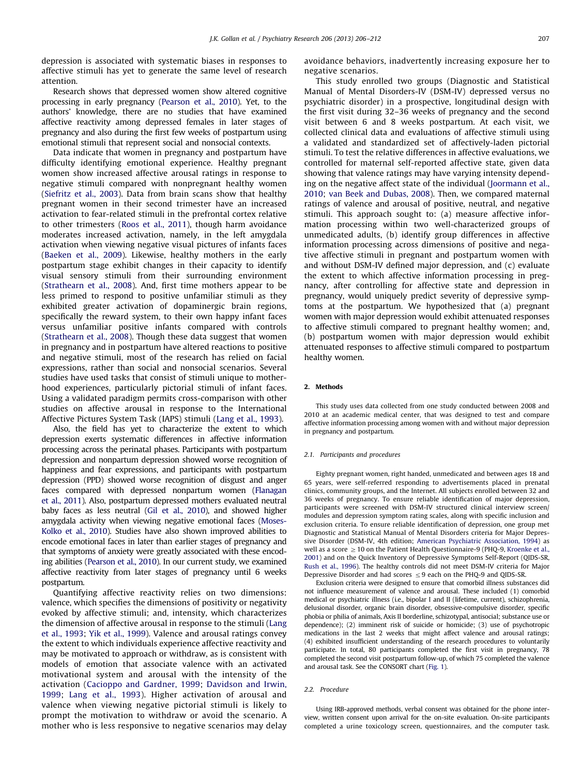depression is associated with systematic biases in responses to affective stimuli has yet to generate the same level of research attention.

Research shows that depressed women show altered cognitive processing in early pregnancy [\(Pearson et al., 2010\)](#page--1-0). Yet, to the authors' knowledge, there are no studies that have examined affective reactivity among depressed females in later stages of pregnancy and also during the first few weeks of postpartum using emotional stimuli that represent social and nonsocial contexts.

Data indicate that women in pregnancy and postpartum have difficulty identifying emotional experience. Healthy pregnant women show increased affective arousal ratings in response to negative stimuli compared with nonpregnant healthy women ([Siefritz et al., 2003\)](#page--1-0). Data from brain scans show that healthy pregnant women in their second trimester have an increased activation to fear-related stimuli in the prefrontal cortex relative to other trimesters [\(Roos et al., 2011](#page--1-0)), though harm avoidance moderates increased activation, namely, in the left amygdala activation when viewing negative visual pictures of infants faces ([Baeken et al., 2009\)](#page--1-0). Likewise, healthy mothers in the early postpartum stage exhibit changes in their capacity to identify visual sensory stimuli from their surrounding environment ([Strathearn et al., 2008](#page--1-0)). And, first time mothers appear to be less primed to respond to positive unfamiliar stimuli as they exhibited greater activation of dopaminergic brain regions, specifically the reward system, to their own happy infant faces versus unfamiliar positive infants compared with controls ([Strathearn et al., 2008\)](#page--1-0). Though these data suggest that women in pregnancy and in postpartum have altered reactions to positive and negative stimuli, most of the research has relied on facial expressions, rather than social and nonsocial scenarios. Several studies have used tasks that consist of stimuli unique to motherhood experiences, particularly pictorial stimuli of infant faces. Using a validated paradigm permits cross-comparison with other studies on affective arousal in response to the International Affective Pictures System Task (IAPS) stimuli ([Lang et al., 1993](#page--1-0)).

Also, the field has yet to characterize the extent to which depression exerts systematic differences in affective information processing across the perinatal phases. Participants with postpartum depression and nonpartum depression showed worse recognition of happiness and fear expressions, and participants with postpartum depression (PPD) showed worse recognition of disgust and anger faces compared with depressed nonpartum women [\(Flanagan](#page--1-0) [et al., 2011\)](#page--1-0). Also, postpartum depressed mothers evaluated neutral baby faces as less neutral [\(Gil et al., 2010\)](#page--1-0), and showed higher amygdala activity when viewing negative emotional faces [\(Moses-](#page--1-0)[Kolko et al., 2010\)](#page--1-0). Studies have also shown improved abilities to encode emotional faces in later than earlier stages of pregnancy and that symptoms of anxiety were greatly associated with these encoding abilities ([Pearson et al., 2010](#page--1-0)). In our current study, we examined affective reactivity from later stages of pregnancy until 6 weeks postpartum.

Quantifying affective reactivity relies on two dimensions: valence, which specifies the dimensions of positivity or negativity evoked by affective stimuli; and, intensity, which characterizes the dimension of affective arousal in response to the stimuli ([Lang](#page--1-0) [et al., 1993](#page--1-0); [Yik et al., 1999](#page--1-0)). Valence and arousal ratings convey the extent to which individuals experience affective reactivity and may be motivated to approach or withdraw, as is consistent with models of emotion that associate valence with an activated motivational system and arousal with the intensity of the activation ([Cacioppo and Gardner, 1999;](#page--1-0) [Davidson and Irwin,](#page--1-0) [1999](#page--1-0); [Lang et al., 1993](#page--1-0)). Higher activation of arousal and valence when viewing negative pictorial stimuli is likely to prompt the motivation to withdraw or avoid the scenario. A mother who is less responsive to negative scenarios may delay avoidance behaviors, inadvertently increasing exposure her to negative scenarios.

This study enrolled two groups (Diagnostic and Statistical Manual of Mental Disorders-IV (DSM-IV) depressed versus no psychiatric disorder) in a prospective, longitudinal design with the first visit during 32–36 weeks of pregnancy and the second visit between 6 and 8 weeks postpartum. At each visit, we collected clinical data and evaluations of affective stimuli using a validated and standardized set of affectively-laden pictorial stimuli. To test the relative differences in affective evaluations, we controlled for maternal self-reported affective state, given data showing that valence ratings may have varying intensity depending on the negative affect state of the individual [\(Joormann et al.,](#page--1-0) [2010;](#page--1-0) [van Beek and Dubas, 2008](#page--1-0)). Then, we compared maternal ratings of valence and arousal of positive, neutral, and negative stimuli. This approach sought to: (a) measure affective information processing within two well-characterized groups of unmedicated adults, (b) identify group differences in affective information processing across dimensions of positive and negative affective stimuli in pregnant and postpartum women with and without DSM-IV defined major depression, and (c) evaluate the extent to which affective information processing in pregnancy, after controlling for affective state and depression in pregnancy, would uniquely predict severity of depressive symptoms at the postpartum. We hypothesized that (a) pregnant women with major depression would exhibit attenuated responses to affective stimuli compared to pregnant healthy women; and, (b) postpartum women with major depression would exhibit attenuated responses to affective stimuli compared to postpartum healthy women.

#### 2. Methods

This study uses data collected from one study conducted between 2008 and 2010 at an academic medical center, that was designed to test and compare affective information processing among women with and without major depression in pregnancy and postpartum.

#### 2.1. Participants and procedures

Eighty pregnant women, right handed, unmedicated and between ages 18 and 65 years, were self-referred responding to advertisements placed in prenatal clinics, community groups, and the Internet. All subjects enrolled between 32 and 36 weeks of pregnancy. To ensure reliable identification of major depression, participants were screened with DSM-IV structured clinical interview screen/ modules and depression symptom rating scales, along with specific inclusion and exclusion criteria. To ensure reliable identification of depression, one group met Diagnostic and Statistical Manual of Mental Disorders criteria for Major Depressive Disorder (DSM-IV, 4th edition; [American Psychiatric Association, 1994\)](#page--1-0) as well as a score  $\geq 10$  on the Patient Health Questionnaire-9 (PHQ-9, [Kroenke et al.,](#page--1-0) [2001\)](#page--1-0) and on the Quick Inventory of Depressive Symptoms Self-Report (QIDS-SR, [Rush et al., 1996\)](#page--1-0). The healthy controls did not meet DSM-IV criteria for Major Depressive Disorder and had scores  $\leq$  9 each on the PHQ-9 and QIDS-SR.

Exclusion criteria were designed to ensure that comorbid illness substances did not influence measurement of valence and arousal. These included (1) comorbid medical or psychiatric illness (i.e., bipolar I and II (lifetime, current), schizophrenia, delusional disorder, organic brain disorder, obsessive-compulsive disorder, specific phobia or philia of animals, Axis II borderline, schizotypal, antisocial; substance use or dependence); (2) imminent risk of suicide or homicide; (3) use of psychotropic medications in the last 2 weeks that might affect valence and arousal ratings; (4) exhibited insufficient understanding of the research procedures to voluntarily participate. In total, 80 participants completed the first visit in pregnancy, 78 completed the second visit postpartum follow-up, of which 75 completed the valence and arousal task. See the CONSORT chart ([Fig. 1\)](#page--1-0).

#### 2.2. Procedure

Using IRB-approved methods, verbal consent was obtained for the phone interview, written consent upon arrival for the on-site evaluation. On-site participants completed a urine toxicology screen, questionnaires, and the computer task.